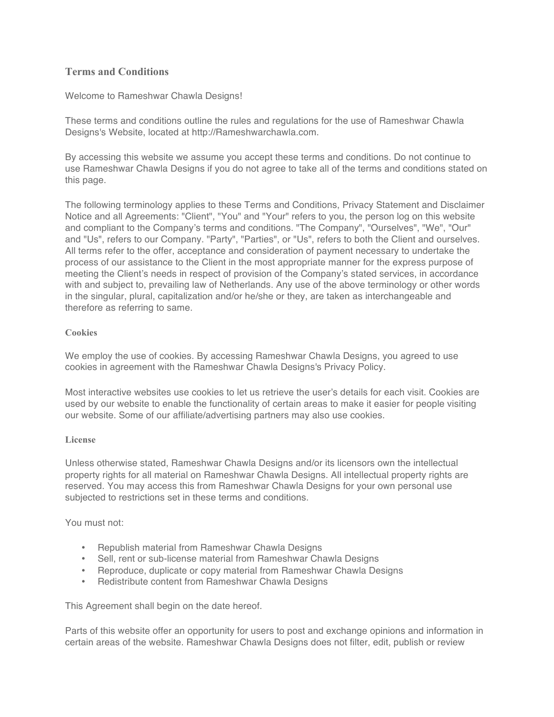# **Terms and Conditions**

Welcome to Rameshwar Chawla Designs!

These terms and conditions outline the rules and regulations for the use of Rameshwar Chawla Designs's Website, located at http://Rameshwarchawla.com.

By accessing this website we assume you accept these terms and conditions. Do not continue to use Rameshwar Chawla Designs if you do not agree to take all of the terms and conditions stated on this page.

The following terminology applies to these Terms and Conditions, Privacy Statement and Disclaimer Notice and all Agreements: "Client", "You" and "Your" refers to you, the person log on this website and compliant to the Company's terms and conditions. "The Company", "Ourselves", "We", "Our" and "Us", refers to our Company. "Party", "Parties", or "Us", refers to both the Client and ourselves. All terms refer to the offer, acceptance and consideration of payment necessary to undertake the process of our assistance to the Client in the most appropriate manner for the express purpose of meeting the Client's needs in respect of provision of the Company's stated services, in accordance with and subject to, prevailing law of Netherlands. Any use of the above terminology or other words in the singular, plural, capitalization and/or he/she or they, are taken as interchangeable and therefore as referring to same.

### **Cookies**

We employ the use of cookies. By accessing Rameshwar Chawla Designs, you agreed to use cookies in agreement with the Rameshwar Chawla Designs's Privacy Policy.

Most interactive websites use cookies to let us retrieve the user's details for each visit. Cookies are used by our website to enable the functionality of certain areas to make it easier for people visiting our website. Some of our affiliate/advertising partners may also use cookies.

### **License**

Unless otherwise stated, Rameshwar Chawla Designs and/or its licensors own the intellectual property rights for all material on Rameshwar Chawla Designs. All intellectual property rights are reserved. You may access this from Rameshwar Chawla Designs for your own personal use subjected to restrictions set in these terms and conditions.

You must not:

- Republish material from Rameshwar Chawla Designs
- Sell, rent or sub-license material from Rameshwar Chawla Designs
- Reproduce, duplicate or copy material from Rameshwar Chawla Designs
- Redistribute content from Rameshwar Chawla Designs

This Agreement shall begin on the date hereof.

Parts of this website offer an opportunity for users to post and exchange opinions and information in certain areas of the website. Rameshwar Chawla Designs does not filter, edit, publish or review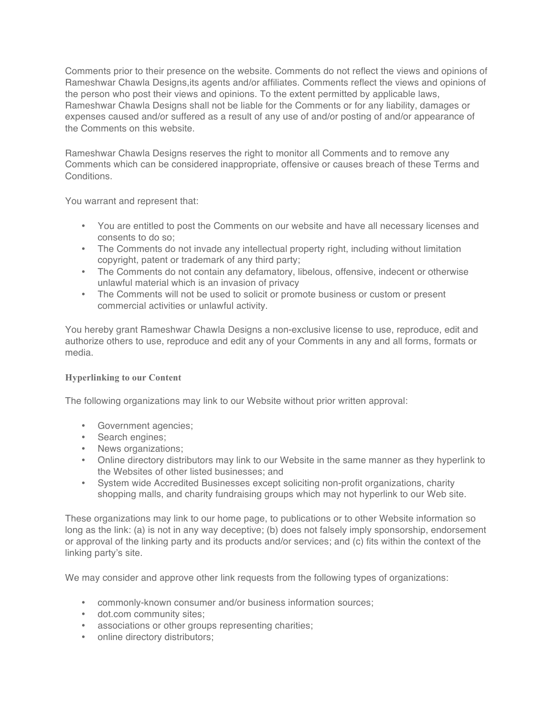Comments prior to their presence on the website. Comments do not reflect the views and opinions of Rameshwar Chawla Designs,its agents and/or affiliates. Comments reflect the views and opinions of the person who post their views and opinions. To the extent permitted by applicable laws, Rameshwar Chawla Designs shall not be liable for the Comments or for any liability, damages or expenses caused and/or suffered as a result of any use of and/or posting of and/or appearance of the Comments on this website.

Rameshwar Chawla Designs reserves the right to monitor all Comments and to remove any Comments which can be considered inappropriate, offensive or causes breach of these Terms and Conditions.

You warrant and represent that:

- You are entitled to post the Comments on our website and have all necessary licenses and consents to do so;
- The Comments do not invade any intellectual property right, including without limitation copyright, patent or trademark of any third party;
- The Comments do not contain any defamatory, libelous, offensive, indecent or otherwise unlawful material which is an invasion of privacy
- The Comments will not be used to solicit or promote business or custom or present commercial activities or unlawful activity.

You hereby grant Rameshwar Chawla Designs a non-exclusive license to use, reproduce, edit and authorize others to use, reproduce and edit any of your Comments in any and all forms, formats or media.

# **Hyperlinking to our Content**

The following organizations may link to our Website without prior written approval:

- Government agencies;
- Search engines;
- News organizations;
- Online directory distributors may link to our Website in the same manner as they hyperlink to the Websites of other listed businesses; and
- System wide Accredited Businesses except soliciting non-profit organizations, charity shopping malls, and charity fundraising groups which may not hyperlink to our Web site.

These organizations may link to our home page, to publications or to other Website information so long as the link: (a) is not in any way deceptive; (b) does not falsely imply sponsorship, endorsement or approval of the linking party and its products and/or services; and (c) fits within the context of the linking party's site.

We may consider and approve other link requests from the following types of organizations:

- commonly-known consumer and/or business information sources;
- dot.com community sites;
- associations or other groups representing charities;
- online directory distributors;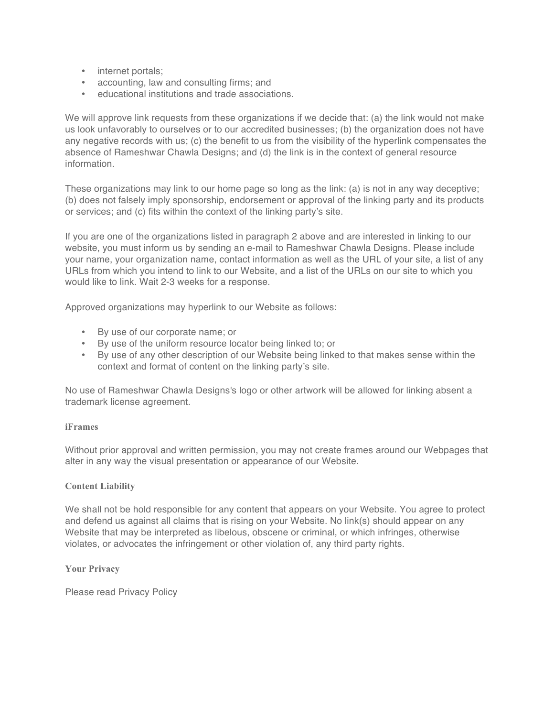- internet portals;
- accounting, law and consulting firms; and
- educational institutions and trade associations.

We will approve link requests from these organizations if we decide that: (a) the link would not make us look unfavorably to ourselves or to our accredited businesses; (b) the organization does not have any negative records with us; (c) the benefit to us from the visibility of the hyperlink compensates the absence of Rameshwar Chawla Designs; and (d) the link is in the context of general resource information.

These organizations may link to our home page so long as the link: (a) is not in any way deceptive; (b) does not falsely imply sponsorship, endorsement or approval of the linking party and its products or services; and (c) fits within the context of the linking party's site.

If you are one of the organizations listed in paragraph 2 above and are interested in linking to our website, you must inform us by sending an e-mail to Rameshwar Chawla Designs. Please include your name, your organization name, contact information as well as the URL of your site, a list of any URLs from which you intend to link to our Website, and a list of the URLs on our site to which you would like to link. Wait 2-3 weeks for a response.

Approved organizations may hyperlink to our Website as follows:

- By use of our corporate name; or
- By use of the uniform resource locator being linked to; or
- By use of any other description of our Website being linked to that makes sense within the context and format of content on the linking party's site.

No use of Rameshwar Chawla Designs's logo or other artwork will be allowed for linking absent a trademark license agreement.

### **iFrames**

Without prior approval and written permission, you may not create frames around our Webpages that alter in any way the visual presentation or appearance of our Website.

# **Content Liability**

We shall not be hold responsible for any content that appears on your Website. You agree to protect and defend us against all claims that is rising on your Website. No link(s) should appear on any Website that may be interpreted as libelous, obscene or criminal, or which infringes, otherwise violates, or advocates the infringement or other violation of, any third party rights.

### **Your Privacy**

Please read Privacy Policy